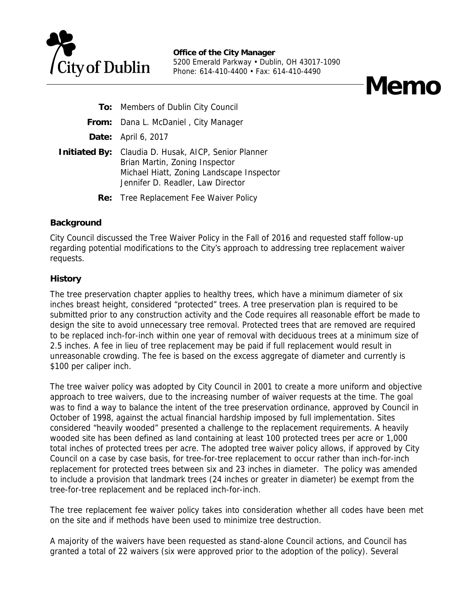

# **Memo**

- **To:** Members of Dublin City Council
- **From:** Dana L. McDaniel , City Manager
- **Date:** April 6, 2017
- **Initiated By:** Claudia D. Husak, AICP, Senior Planner Brian Martin, Zoning Inspector Michael Hiatt, Zoning Landscape Inspector Jennifer D. Readler, Law Director
	- **Re:** Tree Replacement Fee Waiver Policy

### **Background**

City Council discussed the Tree Waiver Policy in the Fall of 2016 and requested staff follow-up regarding potential modifications to the City's approach to addressing tree replacement waiver requests.

## **History**

The tree preservation chapter applies to healthy trees, which have a minimum diameter of six inches breast height, considered "protected" trees. A tree preservation plan is required to be submitted prior to any construction activity and the Code requires all reasonable effort be made to design the site to avoid unnecessary tree removal. Protected trees that are removed are required to be replaced inch-for-inch within one year of removal with deciduous trees at a minimum size of 2.5 inches. A fee in lieu of tree replacement may be paid if full replacement would result in unreasonable crowding. The fee is based on the excess aggregate of diameter and currently is \$100 per caliper inch.

The tree waiver policy was adopted by City Council in 2001 to create a more uniform and objective approach to tree waivers, due to the increasing number of waiver requests at the time. The goal was to find a way to balance the intent of the tree preservation ordinance, approved by Council in October of 1998, against the actual financial hardship imposed by full implementation. Sites considered "heavily wooded" presented a challenge to the replacement requirements. A heavily wooded site has been defined as land containing at least 100 protected trees per acre or 1,000 total inches of protected trees per acre. The adopted tree waiver policy allows, if approved by City Council on a case by case basis, for tree-for-tree replacement to occur rather than inch-for-inch replacement for protected trees between six and 23 inches in diameter. The policy was amended to include a provision that landmark trees (24 inches or greater in diameter) be exempt from the tree-for-tree replacement and be replaced inch-for-inch.

The tree replacement fee waiver policy takes into consideration whether all codes have been met on the site and if methods have been used to minimize tree destruction.

A majority of the waivers have been requested as stand-alone Council actions, and Council has granted a total of 22 waivers (six were approved prior to the adoption of the policy). Several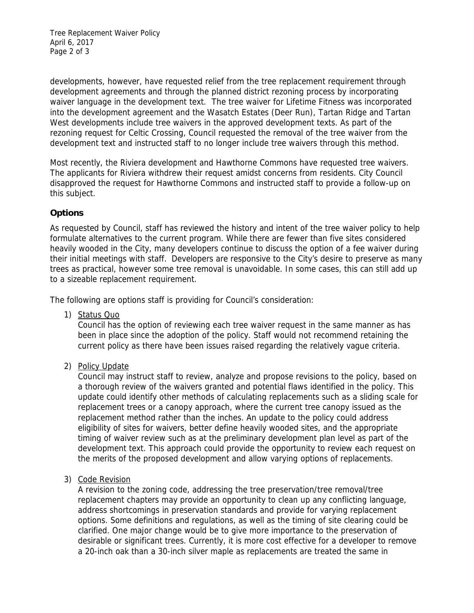Tree Replacement Waiver Policy April 6, 2017 Page 2 of 3

developments, however, have requested relief from the tree replacement requirement through development agreements and through the planned district rezoning process by incorporating waiver language in the development text. The tree waiver for Lifetime Fitness was incorporated into the development agreement and the Wasatch Estates (Deer Run), Tartan Ridge and Tartan West developments include tree waivers in the approved development texts. As part of the rezoning request for Celtic Crossing, Council requested the removal of the tree waiver from the development text and instructed staff to no longer include tree waivers through this method.

Most recently, the Riviera development and Hawthorne Commons have requested tree waivers. The applicants for Riviera withdrew their request amidst concerns from residents. City Council disapproved the request for Hawthorne Commons and instructed staff to provide a follow-up on this subject.

## **Options**

As requested by Council, staff has reviewed the history and intent of the tree waiver policy to help formulate alternatives to the current program. While there are fewer than five sites considered heavily wooded in the City, many developers continue to discuss the option of a fee waiver during their initial meetings with staff. Developers are responsive to the City's desire to preserve as many trees as practical, however some tree removal is unavoidable. In some cases, this can still add up to a sizeable replacement requirement.

The following are options staff is providing for Council's consideration:

1) Status Quo

Council has the option of reviewing each tree waiver request in the same manner as has been in place since the adoption of the policy. Staff would not recommend retaining the current policy as there have been issues raised regarding the relatively vague criteria.

2) Policy Update

Council may instruct staff to review, analyze and propose revisions to the policy, based on a thorough review of the waivers granted and potential flaws identified in the policy. This update could identify other methods of calculating replacements such as a sliding scale for replacement trees or a canopy approach, where the current tree canopy issued as the replacement method rather than the inches. An update to the policy could address eligibility of sites for waivers, better define heavily wooded sites, and the appropriate timing of waiver review such as at the preliminary development plan level as part of the development text. This approach could provide the opportunity to review each request on the merits of the proposed development and allow varying options of replacements.

3) Code Revision

A revision to the zoning code, addressing the tree preservation/tree removal/tree replacement chapters may provide an opportunity to clean up any conflicting language, address shortcomings in preservation standards and provide for varying replacement options. Some definitions and regulations, as well as the timing of site clearing could be clarified. One major change would be to give more importance to the preservation of desirable or significant trees. Currently, it is more cost effective for a developer to remove a 20-inch oak than a 30-inch silver maple as replacements are treated the same in